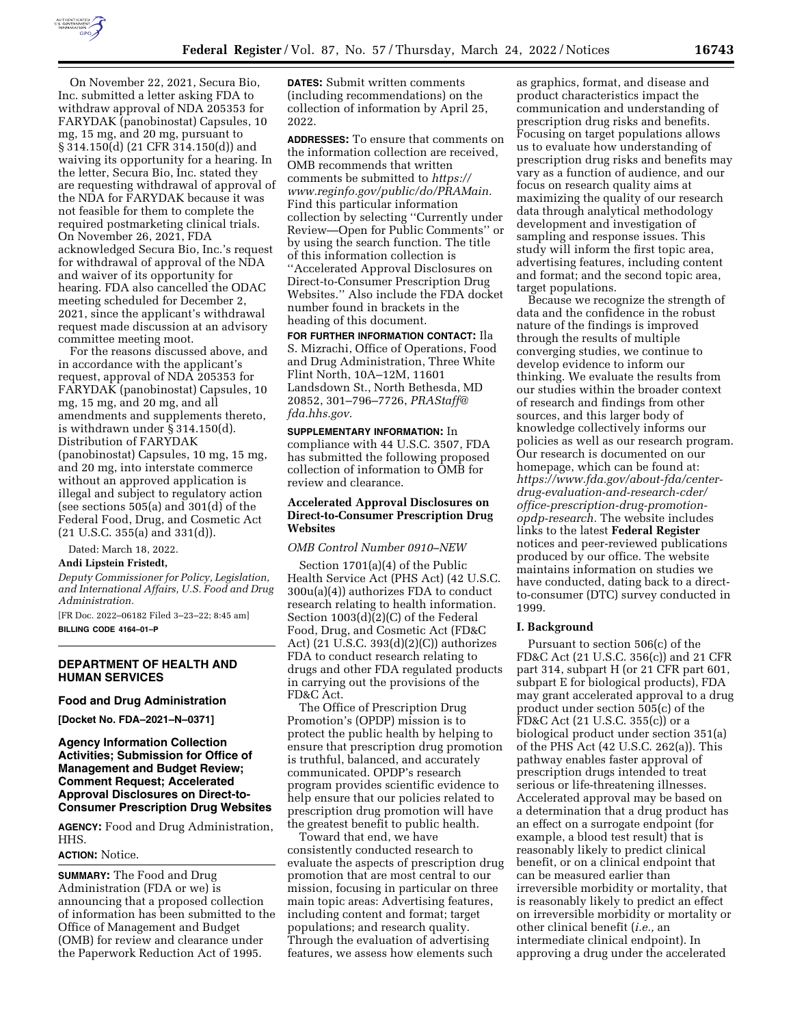

On November 22, 2021, Secura Bio, Inc. submitted a letter asking FDA to withdraw approval of NDA 205353 for FARYDAK (panobinostat) Capsules, 10 mg, 15 mg, and 20 mg, pursuant to § 314.150(d) (21 CFR 314.150(d)) and waiving its opportunity for a hearing. In the letter, Secura Bio, Inc. stated they are requesting withdrawal of approval of the NDA for FARYDAK because it was not feasible for them to complete the required postmarketing clinical trials. On November 26, 2021, FDA acknowledged Secura Bio, Inc.'s request for withdrawal of approval of the NDA and waiver of its opportunity for hearing. FDA also cancelled the ODAC meeting scheduled for December 2, 2021, since the applicant's withdrawal request made discussion at an advisory committee meeting moot.

For the reasons discussed above, and in accordance with the applicant's request, approval of NDA 205353 for FARYDAK (panobinostat) Capsules, 10 mg, 15 mg, and 20 mg, and all amendments and supplements thereto, is withdrawn under § 314.150(d). Distribution of FARYDAK (panobinostat) Capsules, 10 mg, 15 mg, and 20 mg, into interstate commerce without an approved application is illegal and subject to regulatory action (see sections 505(a) and 301(d) of the Federal Food, Drug, and Cosmetic Act (21 U.S.C. 355(a) and 331(d)).

Dated: March 18, 2022.

#### **Andi Lipstein Fristedt,**

*Deputy Commissioner for Policy, Legislation, and International Affairs, U.S. Food and Drug Administration.* 

[FR Doc. 2022–06182 Filed 3–23–22; 8:45 am] **BILLING CODE 4164–01–P** 

# **DEPARTMENT OF HEALTH AND HUMAN SERVICES**

### **Food and Drug Administration**

**[Docket No. FDA–2021–N–0371]** 

## **Agency Information Collection Activities; Submission for Office of Management and Budget Review; Comment Request; Accelerated Approval Disclosures on Direct-to-Consumer Prescription Drug Websites**

**AGENCY:** Food and Drug Administration, HHS.

#### **ACTION:** Notice.

**SUMMARY:** The Food and Drug Administration (FDA or we) is announcing that a proposed collection of information has been submitted to the Office of Management and Budget (OMB) for review and clearance under the Paperwork Reduction Act of 1995.

**DATES:** Submit written comments (including recommendations) on the collection of information by April 25, 2022.

**ADDRESSES:** To ensure that comments on the information collection are received, OMB recommends that written comments be submitted to *[https://](https://www.reginfo.gov/public/do/PRAMain) [www.reginfo.gov/public/do/PRAMain.](https://www.reginfo.gov/public/do/PRAMain)*  Find this particular information collection by selecting ''Currently under Review—Open for Public Comments'' or by using the search function. The title of this information collection is ''Accelerated Approval Disclosures on Direct-to-Consumer Prescription Drug Websites.'' Also include the FDA docket number found in brackets in the heading of this document.

**FOR FURTHER INFORMATION CONTACT:** Ila S. Mizrachi, Office of Operations, Food and Drug Administration, Three White Flint North, 10A–12M, 11601 Landsdown St., North Bethesda, MD 20852, 301–796–7726, *[PRAStaff@](mailto:PRAStaff@fda.hhs.gov) [fda.hhs.gov.](mailto:PRAStaff@fda.hhs.gov)* 

**SUPPLEMENTARY INFORMATION:** In compliance with 44 U.S.C. 3507, FDA has submitted the following proposed collection of information to OMB for review and clearance.

## **Accelerated Approval Disclosures on Direct-to-Consumer Prescription Drug Websites**

#### *OMB Control Number 0910–NEW*

Section 1701(a)(4) of the Public Health Service Act (PHS Act) (42 U.S.C. 300u(a)(4)) authorizes FDA to conduct research relating to health information. Section 1003(d)(2)(C) of the Federal Food, Drug, and Cosmetic Act (FD&C Act) (21 U.S.C. 393(d)(2)(C)) authorizes FDA to conduct research relating to drugs and other FDA regulated products in carrying out the provisions of the FD&C Act.

The Office of Prescription Drug Promotion's (OPDP) mission is to protect the public health by helping to ensure that prescription drug promotion is truthful, balanced, and accurately communicated. OPDP's research program provides scientific evidence to help ensure that our policies related to prescription drug promotion will have the greatest benefit to public health.

Toward that end, we have consistently conducted research to evaluate the aspects of prescription drug promotion that are most central to our mission, focusing in particular on three main topic areas: Advertising features, including content and format; target populations; and research quality. Through the evaluation of advertising features, we assess how elements such

as graphics, format, and disease and product characteristics impact the communication and understanding of prescription drug risks and benefits. Focusing on target populations allows us to evaluate how understanding of prescription drug risks and benefits may vary as a function of audience, and our focus on research quality aims at maximizing the quality of our research data through analytical methodology development and investigation of sampling and response issues. This study will inform the first topic area, advertising features, including content and format; and the second topic area, target populations.

Because we recognize the strength of data and the confidence in the robust nature of the findings is improved through the results of multiple converging studies, we continue to develop evidence to inform our thinking. We evaluate the results from our studies within the broader context of research and findings from other sources, and this larger body of knowledge collectively informs our policies as well as our research program. Our research is documented on our homepage, which can be found at: *[https://www.fda.gov/about-fda/center](https://www.fda.gov/about-fda/center-drug-evaluation-and-research-cder/office-prescription-drug-promotion-opdp-research)[drug-evaluation-and-research-cder/](https://www.fda.gov/about-fda/center-drug-evaluation-and-research-cder/office-prescription-drug-promotion-opdp-research)  [office-prescription-drug-promotion](https://www.fda.gov/about-fda/center-drug-evaluation-and-research-cder/office-prescription-drug-promotion-opdp-research)[opdp-research.](https://www.fda.gov/about-fda/center-drug-evaluation-and-research-cder/office-prescription-drug-promotion-opdp-research)* The website includes links to the latest **Federal Register**  notices and peer-reviewed publications produced by our office. The website maintains information on studies we have conducted, dating back to a directto-consumer (DTC) survey conducted in 1999.

#### **I. Background**

Pursuant to section 506(c) of the FD&C Act (21 U.S.C. 356(c)) and 21 CFR part 314, subpart H (or 21 CFR part 601, subpart E for biological products), FDA may grant accelerated approval to a drug product under section 505(c) of the FD&C Act (21 U.S.C. 355(c)) or a biological product under section 351(a) of the PHS Act (42 U.S.C. 262(a)). This pathway enables faster approval of prescription drugs intended to treat serious or life-threatening illnesses. Accelerated approval may be based on a determination that a drug product has an effect on a surrogate endpoint (for example, a blood test result) that is reasonably likely to predict clinical benefit, or on a clinical endpoint that can be measured earlier than irreversible morbidity or mortality, that is reasonably likely to predict an effect on irreversible morbidity or mortality or other clinical benefit (*i.e.,* an intermediate clinical endpoint). In approving a drug under the accelerated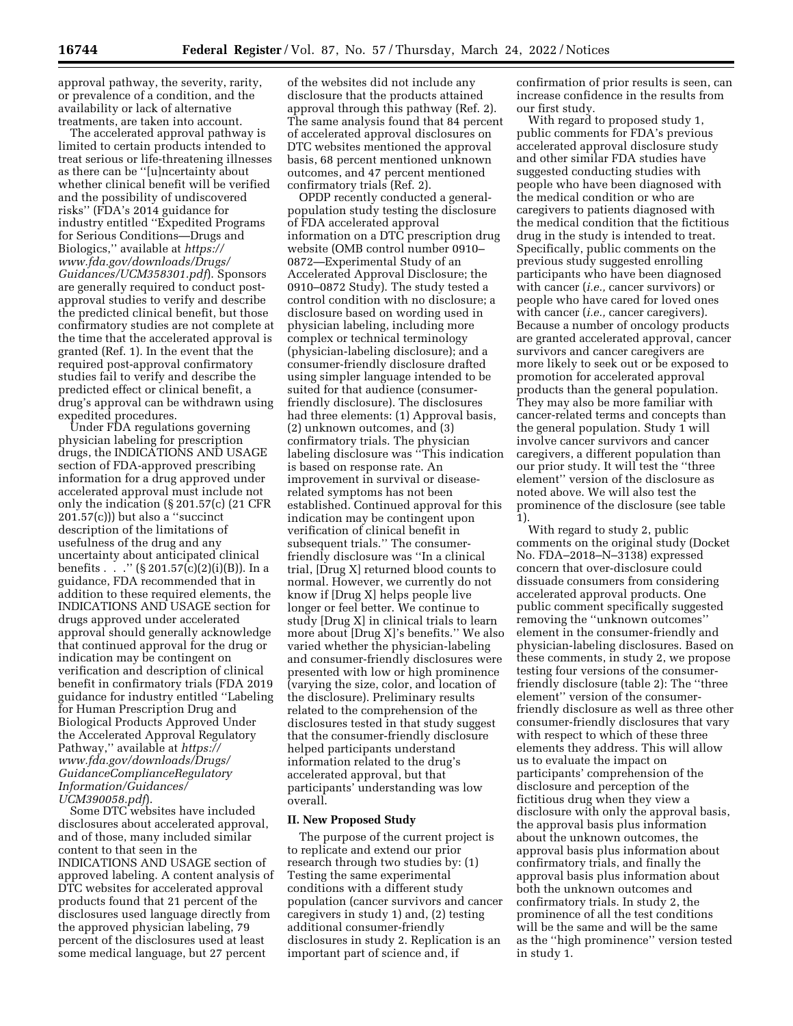approval pathway, the severity, rarity, or prevalence of a condition, and the availability or lack of alternative treatments, are taken into account.

The accelerated approval pathway is limited to certain products intended to treat serious or life-threatening illnesses as there can be ''[u]ncertainty about whether clinical benefit will be verified and the possibility of undiscovered risks'' (FDA's 2014 guidance for industry entitled ''Expedited Programs for Serious Conditions—Drugs and Biologics,'' available at *[https://](https://www.fda.gov/downloads/Drugs/Guidances/UCM358301.pdf) [www.fda.gov/downloads/Drugs/](https://www.fda.gov/downloads/Drugs/Guidances/UCM358301.pdf)  [Guidances/UCM358301.pdf](https://www.fda.gov/downloads/Drugs/Guidances/UCM358301.pdf)*). Sponsors are generally required to conduct postapproval studies to verify and describe the predicted clinical benefit, but those confirmatory studies are not complete at the time that the accelerated approval is granted (Ref. 1). In the event that the required post-approval confirmatory studies fail to verify and describe the predicted effect or clinical benefit, a drug's approval can be withdrawn using expedited procedures.

Under FDA regulations governing physician labeling for prescription drugs, the INDICATIONS AND USAGE section of FDA-approved prescribing information for a drug approved under accelerated approval must include not only the indication (§ 201.57(c) (21 CFR 201.57(c))) but also a ''succinct description of the limitations of usefulness of the drug and any uncertainty about anticipated clinical benefits . . . "  $(\S 201.57(c)(2)(i)(B))$ . In a guidance, FDA recommended that in addition to these required elements, the INDICATIONS AND USAGE section for drugs approved under accelerated approval should generally acknowledge that continued approval for the drug or indication may be contingent on verification and description of clinical benefit in confirmatory trials (FDA 2019 guidance for industry entitled ''Labeling for Human Prescription Drug and Biological Products Approved Under the Accelerated Approval Regulatory Pathway,'' available at *[https://](https://www.fda.gov/downloads/Drugs/GuidanceComplianceRegulatoryInformation/Guidances/UCM390058.pdf) [www.fda.gov/downloads/Drugs/](https://www.fda.gov/downloads/Drugs/GuidanceComplianceRegulatoryInformation/Guidances/UCM390058.pdf)  [GuidanceComplianceRegulatory](https://www.fda.gov/downloads/Drugs/GuidanceComplianceRegulatoryInformation/Guidances/UCM390058.pdf) [Information/Guidances/](https://www.fda.gov/downloads/Drugs/GuidanceComplianceRegulatoryInformation/Guidances/UCM390058.pdf) [UCM390058.pdf](https://www.fda.gov/downloads/Drugs/GuidanceComplianceRegulatoryInformation/Guidances/UCM390058.pdf)*).

Some DTC websites have included disclosures about accelerated approval, and of those, many included similar content to that seen in the INDICATIONS AND USAGE section of approved labeling. A content analysis of DTC websites for accelerated approval products found that 21 percent of the disclosures used language directly from the approved physician labeling, 79 percent of the disclosures used at least some medical language, but 27 percent

of the websites did not include any disclosure that the products attained approval through this pathway (Ref. 2). The same analysis found that 84 percent of accelerated approval disclosures on DTC websites mentioned the approval basis, 68 percent mentioned unknown outcomes, and 47 percent mentioned confirmatory trials (Ref. 2).

OPDP recently conducted a generalpopulation study testing the disclosure of FDA accelerated approval information on a DTC prescription drug website (OMB control number 0910– 0872—Experimental Study of an Accelerated Approval Disclosure; the 0910–0872 Study). The study tested a control condition with no disclosure; a disclosure based on wording used in physician labeling, including more complex or technical terminology (physician-labeling disclosure); and a consumer-friendly disclosure drafted using simpler language intended to be suited for that audience (consumerfriendly disclosure). The disclosures had three elements: (1) Approval basis, (2) unknown outcomes, and (3) confirmatory trials. The physician labeling disclosure was ''This indication is based on response rate. An improvement in survival or diseaserelated symptoms has not been established. Continued approval for this indication may be contingent upon verification of clinical benefit in subsequent trials.'' The consumerfriendly disclosure was ''In a clinical trial, [Drug X] returned blood counts to normal. However, we currently do not know if [Drug X] helps people live longer or feel better. We continue to study [Drug X] in clinical trials to learn more about [Drug X]'s benefits.'' We also varied whether the physician-labeling and consumer-friendly disclosures were presented with low or high prominence (varying the size, color, and location of the disclosure). Preliminary results related to the comprehension of the disclosures tested in that study suggest that the consumer-friendly disclosure helped participants understand information related to the drug's accelerated approval, but that participants' understanding was low overall.

## **II. New Proposed Study**

The purpose of the current project is to replicate and extend our prior research through two studies by: (1) Testing the same experimental conditions with a different study population (cancer survivors and cancer caregivers in study 1) and, (2) testing additional consumer-friendly disclosures in study 2. Replication is an important part of science and, if

confirmation of prior results is seen, can increase confidence in the results from our first study.

With regard to proposed study 1, public comments for FDA's previous accelerated approval disclosure study and other similar FDA studies have suggested conducting studies with people who have been diagnosed with the medical condition or who are caregivers to patients diagnosed with the medical condition that the fictitious drug in the study is intended to treat. Specifically, public comments on the previous study suggested enrolling participants who have been diagnosed with cancer (*i.e.,* cancer survivors) or people who have cared for loved ones with cancer (*i.e.,* cancer caregivers). Because a number of oncology products are granted accelerated approval, cancer survivors and cancer caregivers are more likely to seek out or be exposed to promotion for accelerated approval products than the general population. They may also be more familiar with cancer-related terms and concepts than the general population. Study 1 will involve cancer survivors and cancer caregivers, a different population than our prior study. It will test the ''three element'' version of the disclosure as noted above. We will also test the prominence of the disclosure (see table 1).

With regard to study 2, public comments on the original study (Docket No. FDA–2018–N–3138) expressed concern that over-disclosure could dissuade consumers from considering accelerated approval products. One public comment specifically suggested removing the ''unknown outcomes'' element in the consumer-friendly and physician-labeling disclosures. Based on these comments, in study 2, we propose testing four versions of the consumerfriendly disclosure (table 2): The ''three element'' version of the consumerfriendly disclosure as well as three other consumer-friendly disclosures that vary with respect to which of these three elements they address. This will allow us to evaluate the impact on participants' comprehension of the disclosure and perception of the fictitious drug when they view a disclosure with only the approval basis, the approval basis plus information about the unknown outcomes, the approval basis plus information about confirmatory trials, and finally the approval basis plus information about both the unknown outcomes and confirmatory trials. In study 2, the prominence of all the test conditions will be the same and will be the same as the ''high prominence'' version tested in study 1.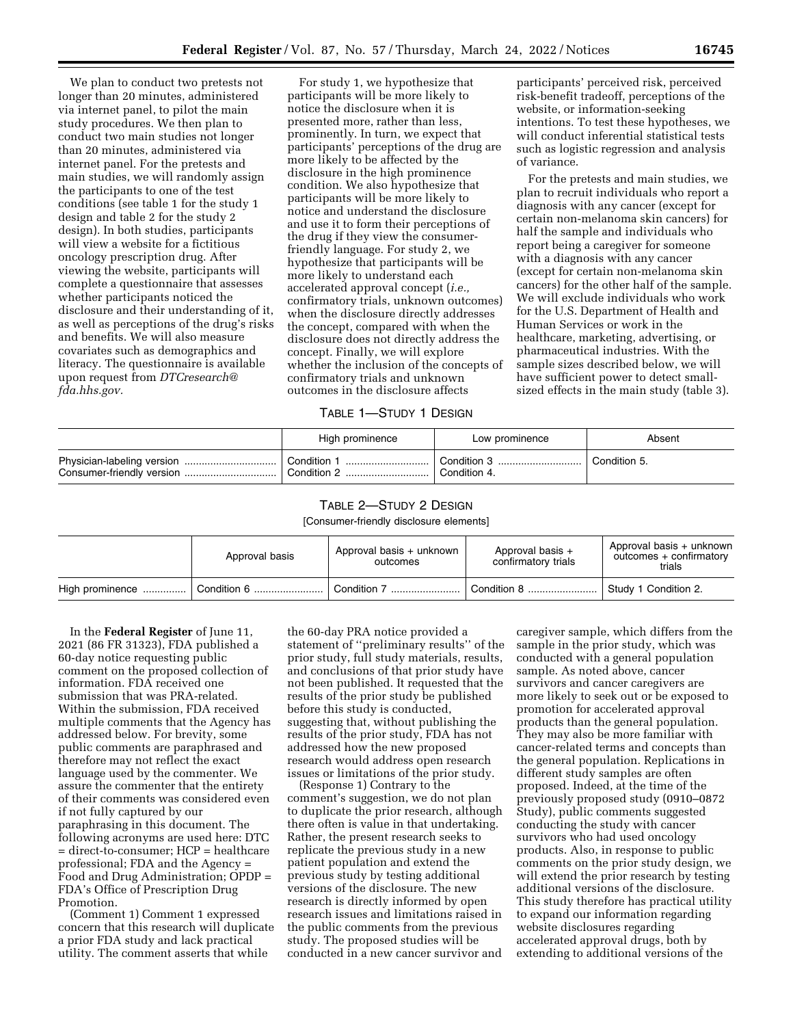We plan to conduct two pretests not longer than 20 minutes, administered via internet panel, to pilot the main study procedures. We then plan to conduct two main studies not longer than 20 minutes, administered via internet panel. For the pretests and main studies, we will randomly assign the participants to one of the test conditions (see table 1 for the study 1 design and table 2 for the study 2 design). In both studies, participants will view a website for a fictitious oncology prescription drug. After viewing the website, participants will complete a questionnaire that assesses whether participants noticed the disclosure and their understanding of it, as well as perceptions of the drug's risks and benefits. We will also measure covariates such as demographics and literacy. The questionnaire is available upon request from *[DTCresearch@](mailto:DTCresearch@fda.hhs.gov) [fda.hhs.gov.](mailto:DTCresearch@fda.hhs.gov)* 

For study 1, we hypothesize that participants will be more likely to notice the disclosure when it is presented more, rather than less, prominently. In turn, we expect that participants' perceptions of the drug are more likely to be affected by the disclosure in the high prominence condition. We also hypothesize that participants will be more likely to notice and understand the disclosure and use it to form their perceptions of the drug if they view the consumerfriendly language. For study 2, we hypothesize that participants will be more likely to understand each accelerated approval concept (*i.e.,*  confirmatory trials, unknown outcomes) when the disclosure directly addresses the concept, compared with when the disclosure does not directly address the concept. Finally, we will explore whether the inclusion of the concepts of confirmatory trials and unknown outcomes in the disclosure affects

participants' perceived risk, perceived risk-benefit tradeoff, perceptions of the website, or information-seeking intentions. To test these hypotheses, we will conduct inferential statistical tests such as logistic regression and analysis of variance.

For the pretests and main studies, we plan to recruit individuals who report a diagnosis with any cancer (except for certain non-melanoma skin cancers) for half the sample and individuals who report being a caregiver for someone with a diagnosis with any cancer (except for certain non-melanoma skin cancers) for the other half of the sample. We will exclude individuals who work for the U.S. Department of Health and Human Services or work in the healthcare, marketing, advertising, or pharmaceutical industries. With the sample sizes described below, we will have sufficient power to detect smallsized effects in the main study (table 3).

## TABLE 1—STUDY 1 DESIGN

| High prominence            | Low prominence              | Absent       |
|----------------------------|-----------------------------|--------------|
| Condition 1<br>Condition 2 | Condition 3<br>Condition 4. | Condition 5. |

## TABLE 2—STUDY 2 DESIGN

[Consumer-friendly disclosure elements]

| Approval basis  |  | Approval basis + unknown<br>outcomes | Approval basis +<br>confirmatory trials | Approval basis + unknown<br>outcomes + confirmatory<br>trials |  |
|-----------------|--|--------------------------------------|-----------------------------------------|---------------------------------------------------------------|--|
| High prominence |  | Condition 7                          | Condition 8                             | Study 1 Condition 2.                                          |  |

In the **Federal Register** of June 11, 2021 (86 FR 31323), FDA published a 60-day notice requesting public comment on the proposed collection of information. FDA received one submission that was PRA-related. Within the submission, FDA received multiple comments that the Agency has addressed below. For brevity, some public comments are paraphrased and therefore may not reflect the exact language used by the commenter. We assure the commenter that the entirety of their comments was considered even if not fully captured by our paraphrasing in this document. The following acronyms are used here: DTC = direct-to-consumer; HCP = healthcare professional; FDA and the Agency = Food and Drug Administration; OPDP = FDA's Office of Prescription Drug Promotion.

(Comment 1) Comment 1 expressed concern that this research will duplicate a prior FDA study and lack practical utility. The comment asserts that while

the 60-day PRA notice provided a statement of ''preliminary results'' of the prior study, full study materials, results, and conclusions of that prior study have not been published. It requested that the results of the prior study be published before this study is conducted, suggesting that, without publishing the results of the prior study, FDA has not addressed how the new proposed research would address open research issues or limitations of the prior study.

(Response 1) Contrary to the comment's suggestion, we do not plan to duplicate the prior research, although there often is value in that undertaking. Rather, the present research seeks to replicate the previous study in a new patient population and extend the previous study by testing additional versions of the disclosure. The new research is directly informed by open research issues and limitations raised in the public comments from the previous study. The proposed studies will be conducted in a new cancer survivor and

caregiver sample, which differs from the sample in the prior study, which was conducted with a general population sample. As noted above, cancer survivors and cancer caregivers are more likely to seek out or be exposed to promotion for accelerated approval products than the general population. They may also be more familiar with cancer-related terms and concepts than the general population. Replications in different study samples are often proposed. Indeed, at the time of the previously proposed study (0910–0872 Study), public comments suggested conducting the study with cancer survivors who had used oncology products. Also, in response to public comments on the prior study design, we will extend the prior research by testing additional versions of the disclosure. This study therefore has practical utility to expand our information regarding website disclosures regarding accelerated approval drugs, both by extending to additional versions of the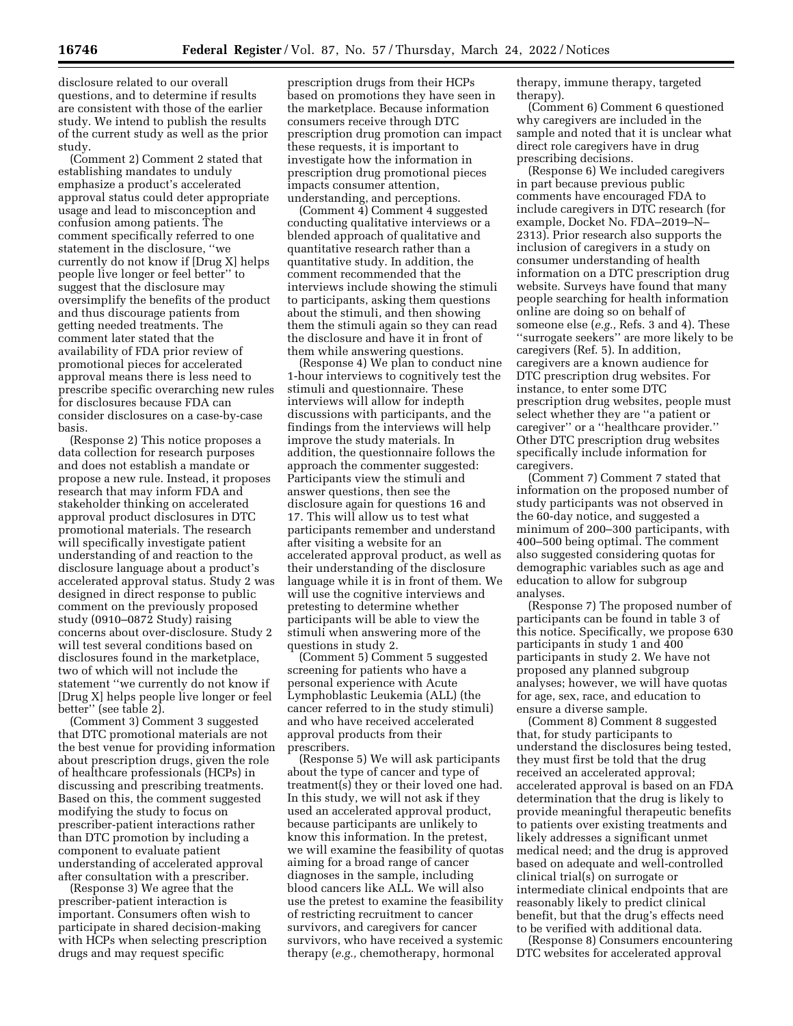disclosure related to our overall questions, and to determine if results are consistent with those of the earlier study. We intend to publish the results of the current study as well as the prior study.

(Comment 2) Comment 2 stated that establishing mandates to unduly emphasize a product's accelerated approval status could deter appropriate usage and lead to misconception and confusion among patients. The comment specifically referred to one statement in the disclosure, ''we currently do not know if [Drug X] helps people live longer or feel better'' to suggest that the disclosure may oversimplify the benefits of the product and thus discourage patients from getting needed treatments. The comment later stated that the availability of FDA prior review of promotional pieces for accelerated approval means there is less need to prescribe specific overarching new rules for disclosures because FDA can consider disclosures on a case-by-case basis.

(Response 2) This notice proposes a data collection for research purposes and does not establish a mandate or propose a new rule. Instead, it proposes research that may inform FDA and stakeholder thinking on accelerated approval product disclosures in DTC promotional materials. The research will specifically investigate patient understanding of and reaction to the disclosure language about a product's accelerated approval status. Study 2 was designed in direct response to public comment on the previously proposed study (0910–0872 Study) raising concerns about over-disclosure. Study 2 will test several conditions based on disclosures found in the marketplace, two of which will not include the statement ''we currently do not know if [Drug X] helps people live longer or feel better'' (see table 2).

(Comment 3) Comment 3 suggested that DTC promotional materials are not the best venue for providing information about prescription drugs, given the role of healthcare professionals (HCPs) in discussing and prescribing treatments. Based on this, the comment suggested modifying the study to focus on prescriber-patient interactions rather than DTC promotion by including a component to evaluate patient understanding of accelerated approval after consultation with a prescriber.

(Response 3) We agree that the prescriber-patient interaction is important. Consumers often wish to participate in shared decision-making with HCPs when selecting prescription drugs and may request specific

prescription drugs from their HCPs based on promotions they have seen in the marketplace. Because information consumers receive through DTC prescription drug promotion can impact these requests, it is important to investigate how the information in prescription drug promotional pieces impacts consumer attention, understanding, and perceptions.

(Comment 4) Comment 4 suggested conducting qualitative interviews or a blended approach of qualitative and quantitative research rather than a quantitative study. In addition, the comment recommended that the interviews include showing the stimuli to participants, asking them questions about the stimuli, and then showing them the stimuli again so they can read the disclosure and have it in front of them while answering questions.

(Response 4) We plan to conduct nine 1-hour interviews to cognitively test the stimuli and questionnaire. These interviews will allow for indepth discussions with participants, and the findings from the interviews will help improve the study materials. In addition, the questionnaire follows the approach the commenter suggested: Participants view the stimuli and answer questions, then see the disclosure again for questions 16 and 17. This will allow us to test what participants remember and understand after visiting a website for an accelerated approval product, as well as their understanding of the disclosure language while it is in front of them. We will use the cognitive interviews and pretesting to determine whether participants will be able to view the stimuli when answering more of the questions in study 2.

(Comment 5) Comment 5 suggested screening for patients who have a personal experience with Acute Lymphoblastic Leukemia (ALL) (the cancer referred to in the study stimuli) and who have received accelerated approval products from their prescribers.

(Response 5) We will ask participants about the type of cancer and type of treatment(s) they or their loved one had. In this study, we will not ask if they used an accelerated approval product, because participants are unlikely to know this information. In the pretest, we will examine the feasibility of quotas aiming for a broad range of cancer diagnoses in the sample, including blood cancers like ALL. We will also use the pretest to examine the feasibility of restricting recruitment to cancer survivors, and caregivers for cancer survivors, who have received a systemic therapy (*e.g.,* chemotherapy, hormonal

therapy, immune therapy, targeted therapy).

(Comment 6) Comment 6 questioned why caregivers are included in the sample and noted that it is unclear what direct role caregivers have in drug prescribing decisions.

(Response 6) We included caregivers in part because previous public comments have encouraged FDA to include caregivers in DTC research (for example, Docket No. FDA–2019–N– 2313). Prior research also supports the inclusion of caregivers in a study on consumer understanding of health information on a DTC prescription drug website. Surveys have found that many people searching for health information online are doing so on behalf of someone else (*e.g.,* Refs. 3 and 4). These ''surrogate seekers'' are more likely to be caregivers (Ref. 5). In addition, caregivers are a known audience for DTC prescription drug websites. For instance, to enter some DTC prescription drug websites, people must select whether they are ''a patient or caregiver'' or a ''healthcare provider.'' Other DTC prescription drug websites specifically include information for caregivers.

(Comment 7) Comment 7 stated that information on the proposed number of study participants was not observed in the 60-day notice, and suggested a minimum of 200–300 participants, with 400–500 being optimal. The comment also suggested considering quotas for demographic variables such as age and education to allow for subgroup analyses.

(Response 7) The proposed number of participants can be found in table 3 of this notice. Specifically, we propose 630 participants in study 1 and 400 participants in study 2. We have not proposed any planned subgroup analyses; however, we will have quotas for age, sex, race, and education to ensure a diverse sample.

(Comment 8) Comment 8 suggested that, for study participants to understand the disclosures being tested, they must first be told that the drug received an accelerated approval; accelerated approval is based on an FDA determination that the drug is likely to provide meaningful therapeutic benefits to patients over existing treatments and likely addresses a significant unmet medical need; and the drug is approved based on adequate and well-controlled clinical trial(s) on surrogate or intermediate clinical endpoints that are reasonably likely to predict clinical benefit, but that the drug's effects need to be verified with additional data.

(Response 8) Consumers encountering DTC websites for accelerated approval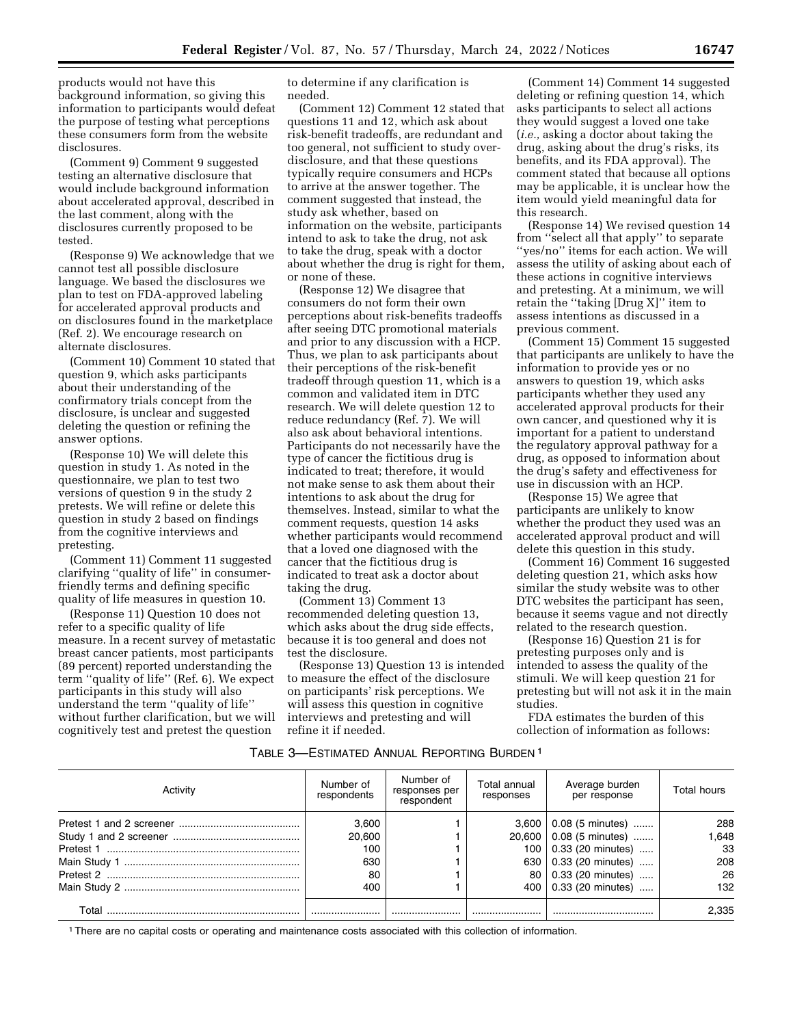products would not have this background information, so giving this information to participants would defeat the purpose of testing what perceptions these consumers form from the website disclosures.

(Comment 9) Comment 9 suggested testing an alternative disclosure that would include background information about accelerated approval, described in the last comment, along with the disclosures currently proposed to be tested.

(Response 9) We acknowledge that we cannot test all possible disclosure language. We based the disclosures we plan to test on FDA-approved labeling for accelerated approval products and on disclosures found in the marketplace (Ref. 2). We encourage research on alternate disclosures.

(Comment 10) Comment 10 stated that question 9, which asks participants about their understanding of the confirmatory trials concept from the disclosure, is unclear and suggested deleting the question or refining the answer options.

(Response 10) We will delete this question in study 1. As noted in the questionnaire, we plan to test two versions of question 9 in the study 2 pretests. We will refine or delete this question in study 2 based on findings from the cognitive interviews and pretesting.

(Comment 11) Comment 11 suggested clarifying ''quality of life'' in consumerfriendly terms and defining specific quality of life measures in question 10.

(Response 11) Question 10 does not refer to a specific quality of life measure. In a recent survey of metastatic breast cancer patients, most participants (89 percent) reported understanding the term ''quality of life'' (Ref. 6). We expect participants in this study will also understand the term ''quality of life'' without further clarification, but we will cognitively test and pretest the question

to determine if any clarification is needed.

(Comment 12) Comment 12 stated that questions 11 and 12, which ask about risk-benefit tradeoffs, are redundant and too general, not sufficient to study overdisclosure, and that these questions typically require consumers and HCPs to arrive at the answer together. The comment suggested that instead, the study ask whether, based on information on the website, participants intend to ask to take the drug, not ask to take the drug, speak with a doctor about whether the drug is right for them, or none of these.

(Response 12) We disagree that consumers do not form their own perceptions about risk-benefits tradeoffs after seeing DTC promotional materials and prior to any discussion with a HCP. Thus, we plan to ask participants about their perceptions of the risk-benefit tradeoff through question 11, which is a common and validated item in DTC research. We will delete question 12 to reduce redundancy (Ref. 7). We will also ask about behavioral intentions. Participants do not necessarily have the type of cancer the fictitious drug is indicated to treat; therefore, it would not make sense to ask them about their intentions to ask about the drug for themselves. Instead, similar to what the comment requests, question 14 asks whether participants would recommend that a loved one diagnosed with the cancer that the fictitious drug is indicated to treat ask a doctor about taking the drug.

(Comment 13) Comment 13 recommended deleting question 13, which asks about the drug side effects, because it is too general and does not test the disclosure.

(Response 13) Question 13 is intended to measure the effect of the disclosure on participants' risk perceptions. We will assess this question in cognitive interviews and pretesting and will refine it if needed.

(Comment 14) Comment 14 suggested deleting or refining question 14, which asks participants to select all actions they would suggest a loved one take (*i.e.,* asking a doctor about taking the drug, asking about the drug's risks, its benefits, and its FDA approval). The comment stated that because all options may be applicable, it is unclear how the item would yield meaningful data for this research.

(Response 14) We revised question 14 from ''select all that apply'' to separate ''yes/no'' items for each action. We will assess the utility of asking about each of these actions in cognitive interviews and pretesting. At a minimum, we will retain the ''taking [Drug X]'' item to assess intentions as discussed in a previous comment.

(Comment 15) Comment 15 suggested that participants are unlikely to have the information to provide yes or no answers to question 19, which asks participants whether they used any accelerated approval products for their own cancer, and questioned why it is important for a patient to understand the regulatory approval pathway for a drug, as opposed to information about the drug's safety and effectiveness for use in discussion with an HCP.

(Response 15) We agree that participants are unlikely to know whether the product they used was an accelerated approval product and will delete this question in this study.

(Comment 16) Comment 16 suggested deleting question 21, which asks how similar the study website was to other DTC websites the participant has seen, because it seems vague and not directly related to the research question.

(Response 16) Question 21 is for pretesting purposes only and is intended to assess the quality of the stimuli. We will keep question 21 for pretesting but will not ask it in the main studies.

FDA estimates the burden of this collection of information as follows:

| TABLE 3—ESTIMATED ANNUAL REPORTING BURDEN 1 |  |  |  |
|---------------------------------------------|--|--|--|
|---------------------------------------------|--|--|--|

| Activity | Number of<br>respondents | Number of<br>responses per<br>respondent | Total annual<br>responses | Average burden<br>per response | Total hours |
|----------|--------------------------|------------------------------------------|---------------------------|--------------------------------|-------------|
|          | 3.600                    |                                          |                           | $3,600$   0.08 (5 minutes)     | 288         |
|          | 20,600                   |                                          | 20.600                    | 0.08 (5 minutes)               | .648        |
|          | 100                      |                                          | 100                       | 0.33 (20 minutes)              | 33          |
|          | 630                      |                                          |                           | 630   0.33 (20 minutes)        | 208         |
|          | 80                       |                                          | 80 l                      | 0.33 (20 minutes)              | 26          |
|          | 400                      |                                          | 400                       | 0.33 (20 minutes)              | 132         |
| Total    |                          |                                          |                           |                                | 2.335       |

1There are no capital costs or operating and maintenance costs associated with this collection of information.